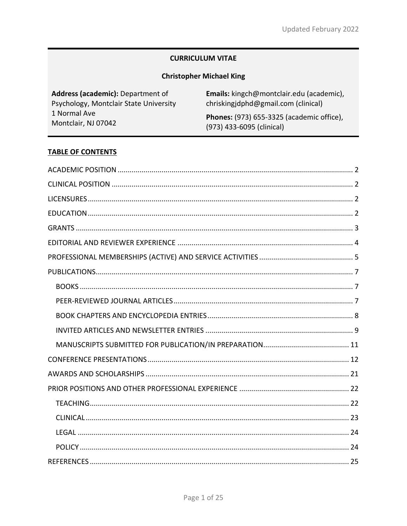# **CURRICULUM VITAE**

# **Christopher Michael King**

| Address (academic): Department of      | Emails: kingch@montclair.edu (academic),         |
|----------------------------------------|--------------------------------------------------|
| Psychology, Montclair State University | chriskingidphd@gmail.com (clinical)              |
| 1 Normal Ave                           | <b>Phones:</b> (973) 655-3325 (academic office), |
| Montclair, NJ 07042                    | (973) 433-6095 (clinical)                        |

# **TABLE OF CONTENTS**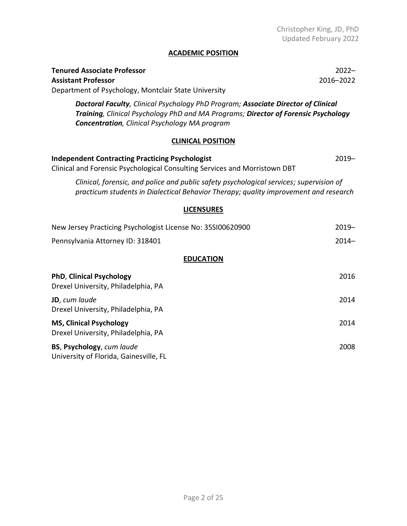## **ACADEMIC POSITION**

| <b>Tenured Associate Professor</b>                                                                                                                                                                                               | $2022 -$  |  |
|----------------------------------------------------------------------------------------------------------------------------------------------------------------------------------------------------------------------------------|-----------|--|
| <b>Assistant Professor</b>                                                                                                                                                                                                       | 2016-2022 |  |
| Department of Psychology, Montclair State University                                                                                                                                                                             |           |  |
| Doctoral Faculty, Clinical Psychology PhD Program; Associate Director of Clinical<br>Training, Clinical Psychology PhD and MA Programs; Director of Forensic Psychology<br><b>Concentration</b> , Clinical Psychology MA program |           |  |
| <b>CLINICAL POSITION</b>                                                                                                                                                                                                         |           |  |
| <b>Independent Contracting Practicing Psychologist</b><br>Clinical and Forensic Psychological Consulting Services and Morristown DBT                                                                                             | $2019 -$  |  |
| Clinical, forensic, and police and public safety psychological services; supervision of<br>practicum students in Dialectical Behavior Therapy; quality improvement and research                                                  |           |  |
| <b>LICENSURES</b>                                                                                                                                                                                                                |           |  |
| New Jersey Practicing Psychologist License No: 35SI00620900                                                                                                                                                                      | $2019 -$  |  |
| Pennsylvania Attorney ID: 318401                                                                                                                                                                                                 | $2014 -$  |  |
| <b>EDUCATION</b>                                                                                                                                                                                                                 |           |  |
| <b>PhD, Clinical Psychology</b><br>Drexel University, Philadelphia, PA                                                                                                                                                           | 2016      |  |
| JD, cum laude                                                                                                                                                                                                                    | 2014      |  |
| Drexel University, Philadelphia, PA                                                                                                                                                                                              |           |  |
| <b>MS, Clinical Psychology</b><br>Drexel University, Philadelphia, PA                                                                                                                                                            | 2014      |  |
| BS, Psychology, cum laude                                                                                                                                                                                                        | 2008      |  |

University of Florida, Gainesville, FL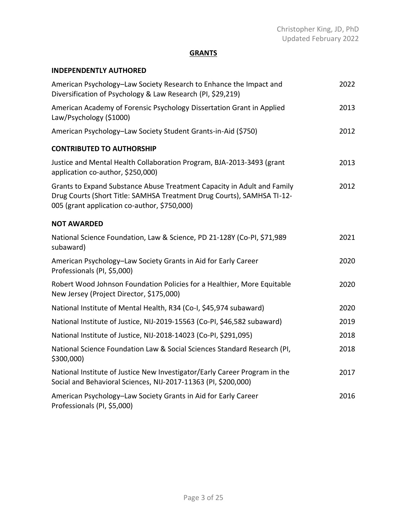# **GRANTS**

## **INDEPENDENTLY AUTHORED**

| American Psychology-Law Society Research to Enhance the Impact and<br>Diversification of Psychology & Law Research (PI, \$29,219)                                                                 | 2022 |
|---------------------------------------------------------------------------------------------------------------------------------------------------------------------------------------------------|------|
| American Academy of Forensic Psychology Dissertation Grant in Applied<br>Law/Psychology (\$1000)                                                                                                  | 2013 |
| American Psychology-Law Society Student Grants-in-Aid (\$750)                                                                                                                                     | 2012 |
| <b>CONTRIBUTED TO AUTHORSHIP</b>                                                                                                                                                                  |      |
| Justice and Mental Health Collaboration Program, BJA-2013-3493 (grant<br>application co-author, \$250,000)                                                                                        | 2013 |
| Grants to Expand Substance Abuse Treatment Capacity in Adult and Family<br>Drug Courts (Short Title: SAMHSA Treatment Drug Courts), SAMHSA TI-12-<br>005 (grant application co-author, \$750,000) | 2012 |
| <b>NOT AWARDED</b>                                                                                                                                                                                |      |
| National Science Foundation, Law & Science, PD 21-128Y (Co-PI, \$71,989<br>subaward)                                                                                                              | 2021 |
| American Psychology-Law Society Grants in Aid for Early Career<br>Professionals (PI, \$5,000)                                                                                                     | 2020 |
| Robert Wood Johnson Foundation Policies for a Healthier, More Equitable<br>New Jersey (Project Director, \$175,000)                                                                               | 2020 |
| National Institute of Mental Health, R34 (Co-I, \$45,974 subaward)                                                                                                                                | 2020 |
| National Institute of Justice, NIJ-2019-15563 (Co-PI, \$46,582 subaward)                                                                                                                          | 2019 |
| National Institute of Justice, NIJ-2018-14023 (Co-PI, \$291,095)                                                                                                                                  | 2018 |
| National Science Foundation Law & Social Sciences Standard Research (PI,<br>\$300,000)                                                                                                            | 2018 |
| National Institute of Justice New Investigator/Early Career Program in the<br>Social and Behavioral Sciences, NIJ-2017-11363 (PI, \$200,000)                                                      | 2017 |
| American Psychology-Law Society Grants in Aid for Early Career<br>Professionals (PI, \$5,000)                                                                                                     | 2016 |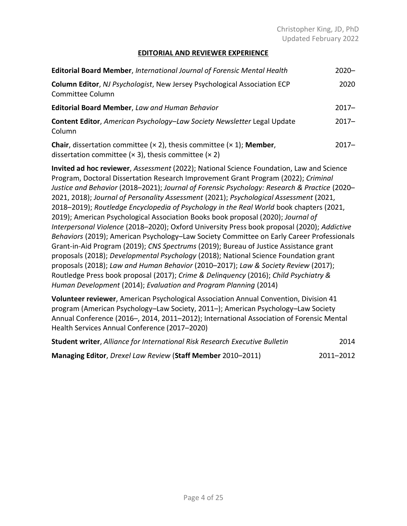## **EDITORIAL AND REVIEWER EXPERIENCE**

| <b>Editorial Board Member, International Journal of Forensic Mental Health</b>                                                                             | $2020 -$ |
|------------------------------------------------------------------------------------------------------------------------------------------------------------|----------|
| <b>Column Editor, NJ Psychologist, New Jersey Psychological Association ECP</b><br>Committee Column                                                        | 2020     |
| Editorial Board Member, Law and Human Behavior                                                                                                             | $2017 -$ |
| Content Editor, American Psychology-Law Society Newsletter Legal Update<br>Column                                                                          | $2017 -$ |
| <b>Chair</b> , dissertation committee $(x 2)$ , thesis committee $(x 1)$ ; Member,<br>dissertation committee ( $\times$ 3), thesis committee ( $\times$ 2) | $2017 -$ |

**Invited ad hoc reviewer**, *Assessment* (2022); National Science Foundation, Law and Science Program, Doctoral Dissertation Research Improvement Grant Program (2022); *Criminal Justice and Behavior* (2018–2021); *Journal of Forensic Psychology: Research & Practice* (2020– 2021, 2018); *Journal of Personality Assessment* (2021); *Psychological Assessment* (2021, 2018–2019); *Routledge Encyclopedia of Psychology in the Real World* book chapters (2021, 2019); American Psychological Association Books book proposal (2020); *Journal of Interpersonal Violence* (2018–2020); Oxford University Press book proposal (2020); *Addictive Behaviors* (2019); American Psychology–Law Society Committee on Early Career Professionals Grant-in-Aid Program (2019); *CNS Spectrums* (2019); Bureau of Justice Assistance grant proposals (2018); *Developmental Psychology* (2018); National Science Foundation grant proposals (2018); *Law and Human Behavior* (2010–2017); *Law & Society Review* (2017); Routledge Press book proposal (2017); *Crime & Delinquency* (2016); *Child Psychiatry & Human Development* (2014); *Evaluation and Program Planning* (2014)

**Volunteer reviewer**, American Psychological Association Annual Convention, Division 41 program (American Psychology–Law Society, 2011–); American Psychology–Law Society Annual Conference (2016–, 2014, 2011–2012); International Association of Forensic Mental Health Services Annual Conference (2017–2020)

| <b>Student writer, Alliance for International Risk Research Executive Bulletin</b> | 2014      |
|------------------------------------------------------------------------------------|-----------|
| Managing Editor, Drexel Law Review (Staff Member 2010–2011)                        | 2011–2012 |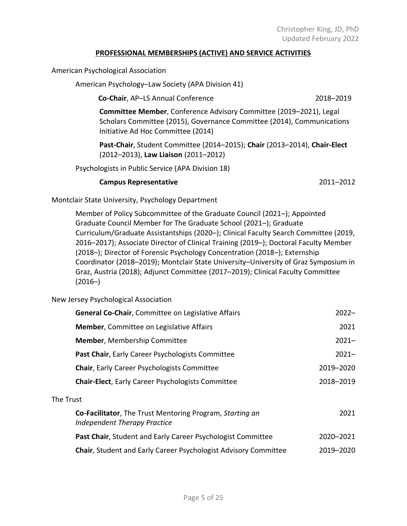### **PROFESSIONAL MEMBERSHIPS (ACTIVE) AND SERVICE ACTIVITIES**

American Psychological Association

American Psychology–Law Society (APA Division 41)

**Co-Chair**, AP–LS Annual Conference 2018–2019

**Committee Member**, Conference Advisory Committee (2019–2021), Legal Scholars Committee (2015), Governance Committee (2014), Communications Initiative Ad Hoc Committee (2014)

**Past-Chair**, Student Committee (2014–2015); **Chair** (2013–2014), **Chair-Elect** (2012–2013), **Law Liaison** (2011–2012)

Psychologists in Public Service (APA Division 18)

### **Campus Representative** 2011–2012

Montclair State University, Psychology Department

Member of Policy Subcommittee of the Graduate Council (2021–); Appointed Graduate Council Member for The Graduate School (2021–); Graduate Curriculum/Graduate Assistantships (2020–); Clinical Faculty Search Committee (2019, 2016–2017); Associate Director of Clinical Training (2019–); Doctoral Faculty Member (2018–); Director of Forensic Psychology Concentration (2018–); Externship Coordinator (2018–2019); Montclair State University–University of Graz Symposium in Graz, Austria (2018); Adjunct Committee (2017–2019); Clinical Faculty Committee  $(2016-)$ 

## New Jersey Psychological Association

| General Co-Chair, Committee on Legislative Affairs                                       | $2022 -$  |
|------------------------------------------------------------------------------------------|-----------|
| <b>Member, Committee on Legislative Affairs</b>                                          | 2021      |
| <b>Member, Membership Committee</b>                                                      | $2021 -$  |
| Past Chair, Early Career Psychologists Committee                                         | $2021 -$  |
| <b>Chair, Early Career Psychologists Committee</b>                                       | 2019-2020 |
| <b>Chair-Elect, Early Career Psychologists Committee</b>                                 | 2018-2019 |
| The Trust                                                                                |           |
| Co-Facilitator, The Trust Mentoring Program, Starting an<br>Independent Therapy Practice | 2021      |
| Past Chair, Student and Early Career Psychologist Committee                              | 2020-2021 |
| <b>Chair, Student and Early Career Psychologist Advisory Committee</b>                   | 2019-2020 |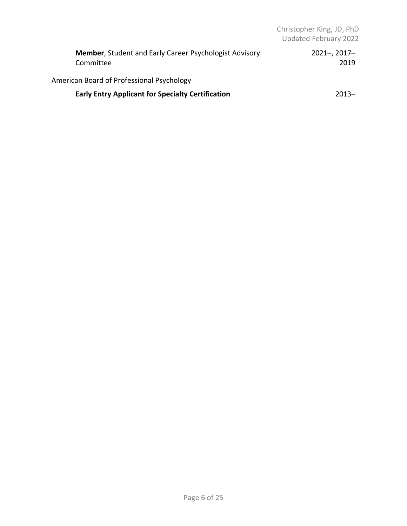| <b>Member, Student and Early Career Psychologist Advisory</b><br>Committee | $2021 - 2017 -$<br>2019 |
|----------------------------------------------------------------------------|-------------------------|
| American Board of Professional Psychology                                  |                         |
| <b>Early Entry Applicant for Specialty Certification</b>                   | $2013 -$                |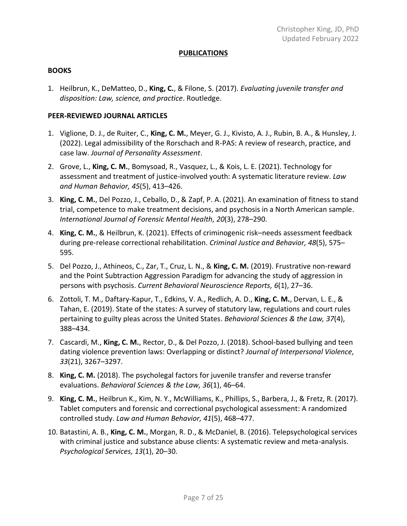### **PUBLICATIONS**

#### **BOOKS**

1. Heilbrun, K., DeMatteo, D., **King, C.**, & Filone, S. (2017). *Evaluating juvenile transfer and disposition: Law, science, and practice*. Routledge.

### **PEER-REVIEWED JOURNAL ARTICLES**

- 1. Viglione, D. J., de Ruiter, C., **King, C. M.**, Meyer, G. J., Kivisto, A. J., Rubin, B. A., & Hunsley, J. (2022). Legal admissibility of the Rorschach and R-PAS: A review of research, practice, and case law. *Journal of Personality Assessment*.
- 2. Grove, L., **King, C. M.**, Bomysoad, R., Vasquez, L., & Kois, L. E. (2021). Technology for assessment and treatment of justice-involved youth: A systematic literature review. *Law and Human Behavior, 45*(5), 413–426.
- 3. **King, C. M.**, Del Pozzo, J., Ceballo, D., & Zapf, P. A. (2021). An examination of fitness to stand trial, competence to make treatment decisions, and psychosis in a North American sample. *International Journal of Forensic Mental Health, 20*(3), 278–290.
- 4. **King, C. M.**, & Heilbrun, K. (2021). Effects of criminogenic risk–needs assessment feedback during pre-release correctional rehabilitation. *Criminal Justice and Behavior, 48*(5), 575– 595.
- 5. Del Pozzo, J., Athineos, C., Zar, T., Cruz, L. N., & **King, C. M.** (2019). Frustrative non-reward and the Point Subtraction Aggression Paradigm for advancing the study of aggression in persons with psychosis. *Current Behavioral Neuroscience Reports, 6*(1), 27–36.
- 6. Zottoli, T. M., Daftary-Kapur, T., Edkins, V. A., Redlich, A. D., **King, C. M.**, Dervan, L. E., & Tahan, E. (2019). State of the states: A survey of statutory law, regulations and court rules pertaining to guilty pleas across the United States. *Behavioral Sciences & the Law, 37*(4), 388–434.
- 7. Cascardi, M., **King, C. M.**, Rector, D., & Del Pozzo, J. (2018). School-based bullying and teen dating violence prevention laws: Overlapping or distinct? *Journal of Interpersonal Violence, 33*(21), 3267–3297.
- 8. **King, C. M.** (2018). The psycholegal factors for juvenile transfer and reverse transfer evaluations. *Behavioral Sciences & the Law, 36*(1), 46–64.
- 9. **King, C. M.**, Heilbrun K., Kim, N. Y., McWilliams, K., Phillips, S., Barbera, J., & Fretz, R. (2017). Tablet computers and forensic and correctional psychological assessment: A randomized controlled study. *Law and Human Behavior, 41*(5), 468–477.
- 10. Batastini, A. B., **King, C. M.**, Morgan, R. D., & McDaniel, B. (2016). Telepsychological services with criminal justice and substance abuse clients: A systematic review and meta-analysis. *Psychological Services, 13*(1), 20–30.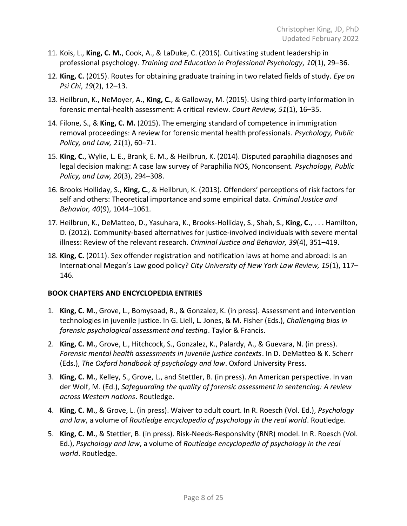- 11. Kois, L., **King, C. M.**, Cook, A., & LaDuke, C. (2016). Cultivating student leadership in professional psychology. *Training and Education in Professional Psychology, 10*(1), 29–36.
- 12. **King, C.** (2015). Routes for obtaining graduate training in two related fields of study. *Eye on Psi Chi*, *19*(2), 12–13.
- 13. Heilbrun, K., NeMoyer, A., **King, C.**, & Galloway, M. (2015). Using third-party information in forensic mental-health assessment: A critical review. *Court Review, 51*(1), 16–35.
- 14. Filone, S., & **King, C. M.** (2015). The emerging standard of competence in immigration removal proceedings: A review for forensic mental health professionals. *Psychology, Public Policy, and Law, 21*(1), 60–71.
- 15. **King, C.**, Wylie, L. E., Brank, E. M., & Heilbrun, K. (2014). Disputed paraphilia diagnoses and legal decision making: A case law survey of Paraphilia NOS, Nonconsent. *Psychology, Public Policy, and Law, 20*(3), 294–308.
- 16. Brooks Holliday, S., **King, C.**, & Heilbrun, K. (2013). Offenders' perceptions of risk factors for self and others: Theoretical importance and some empirical data. *Criminal Justice and Behavior, 40*(9), 1044–1061.
- 17. Heilbrun, K., DeMatteo, D., Yasuhara, K., Brooks-Holliday, S., Shah, S., **King, C.**, . . . Hamilton, D. (2012). Community-based alternatives for justice-involved individuals with severe mental illness: Review of the relevant research. *Criminal Justice and Behavior, 39*(4), 351–419.
- 18. **King, C.** (2011). Sex offender registration and notification laws at home and abroad: Is an International Megan's Law good policy? *City University of New York Law Review, 15*(1), 117– 146.

## **BOOK CHAPTERS AND ENCYCLOPEDIA ENTRIES**

- 1. **King, C. M.**, Grove, L., Bomysoad, R., & Gonzalez, K. (in press). Assessment and intervention technologies in juvenile justice. In G. Liell, L. Jones, & M. Fisher (Eds.), *Challenging bias in forensic psychological assessment and testing*. Taylor & Francis.
- 2. **King, C. M.**, Grove, L., Hitchcock, S., Gonzalez, K., Palardy, A., & Guevara, N. (in press). *Forensic mental health assessments in juvenile justice contexts*. In D. DeMatteo & K. Scherr (Eds.), *The Oxford handbook of psychology and law*. Oxford University Press.
- 3. **King, C. M.**, Kelley, S., Grove, L., and Stettler, B. (in press). An American perspective. In van der Wolf, M. (Ed.), *Safeguarding the quality of forensic assessment in sentencing: A review across Western nations*. Routledge.
- 4. **King, C. M.**, & Grove, L. (in press). Waiver to adult court. In R. Roesch (Vol. Ed.), *Psychology and law*, a volume of *Routledge encyclopedia of psychology in the real world*. Routledge.
- 5. **King, C. M.**, & Stettler, B. (in press). Risk-Needs-Responsivity (RNR) model. In R. Roesch (Vol. Ed.), *Psychology and law*, a volume of *Routledge encyclopedia of psychology in the real world*. Routledge.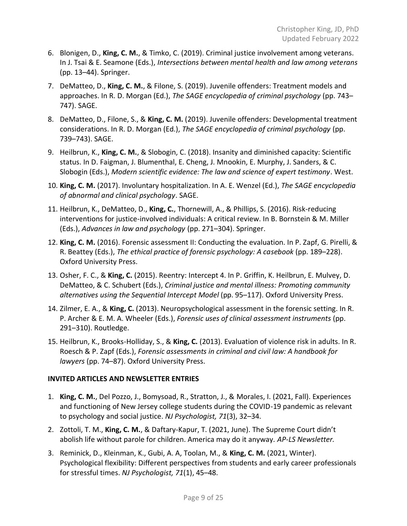- 6. Blonigen, D., **King, C. M.**, & Timko, C. (2019). Criminal justice involvement among veterans. In J. Tsai & E. Seamone (Eds.), *Intersections between mental health and law among veterans* (pp. 13–44). Springer.
- 7. DeMatteo, D., **King, C. M.**, & Filone, S. (2019). Juvenile offenders: Treatment models and approaches. In R. D. Morgan (Ed.), *The SAGE encyclopedia of criminal psychology* (pp. 743– 747). SAGE.
- 8. DeMatteo, D., Filone, S., & **King, C. M.** (2019). Juvenile offenders: Developmental treatment considerations. In R. D. Morgan (Ed.), *The SAGE encyclopedia of criminal psychology* (pp. 739–743). SAGE.
- 9. Heilbrun, K., **King, C. M.**, & Slobogin, C. (2018). Insanity and diminished capacity: Scientific status. In D. Faigman, J. Blumenthal, E. Cheng, J. Mnookin, E. Murphy, J. Sanders, & C. Slobogin (Eds.), *Modern scientific evidence: The law and science of expert testimony*. West.
- 10. **King, C. M.** (2017). Involuntary hospitalization. In A. E. Wenzel (Ed.), *The SAGE encyclopedia of abnormal and clinical psychology*. SAGE.
- 11. Heilbrun, K., DeMatteo, D., **King, C.**, Thornewill, A., & Phillips, S. (2016). Risk-reducing interventions for justice-involved individuals: A critical review. In B. Bornstein & M. Miller (Eds.), *Advances in law and psychology* (pp. 271–304). Springer.
- 12. **King, C. M.** (2016). Forensic assessment II: Conducting the evaluation. In P. Zapf, G. Pirelli, & R. Beattey (Eds.), *The ethical practice of forensic psychology: A casebook* (pp. 189–228). Oxford University Press.
- 13. Osher, F. C., & **King, C.** (2015). Reentry: Intercept 4. In P. Griffin, K. Heilbrun, E. Mulvey, D. DeMatteo, & C. Schubert (Eds.), *Criminal justice and mental illness: Promoting community alternatives using the Sequential Intercept Model* (pp. 95–117). Oxford University Press.
- 14. Zilmer, E. A., & **King, C.** (2013). Neuropsychological assessment in the forensic setting. In R. P. Archer & E. M. A. Wheeler (Eds.), *Forensic uses of clinical assessment instruments* (pp. 291–310). Routledge.
- 15. Heilbrun, K., Brooks-Holliday, S., & **King, C.** (2013). Evaluation of violence risk in adults. In R. Roesch & P. Zapf (Eds.), *Forensic assessments in criminal and civil law: A handbook for lawyers* (pp. 74–87). Oxford University Press.

## **INVITED ARTICLES AND NEWSLETTER ENTRIES**

- 1. **King, C. M.**, Del Pozzo, J., Bomysoad, R., Stratton, J., & Morales, I. (2021, Fall). Experiences and functioning of New Jersey college students during the COVID-19 pandemic as relevant to psychology and social justice. *NJ Psychologist, 71*(3), 32–34.
- 2. Zottoli, T. M., **King, C. M.**, & Daftary-Kapur, T. (2021, June). The Supreme Court didn't abolish life without parole for children. America may do it anyway. *AP-LS Newsletter.*
- 3. Reminick, D., Kleinman, K., Gubi, A. A, Toolan, M., & **King, C. M.** (2021, Winter). Psychological flexibility: Different perspectives from students and early career professionals for stressful times. *NJ Psychologist, 71*(1), 45–48.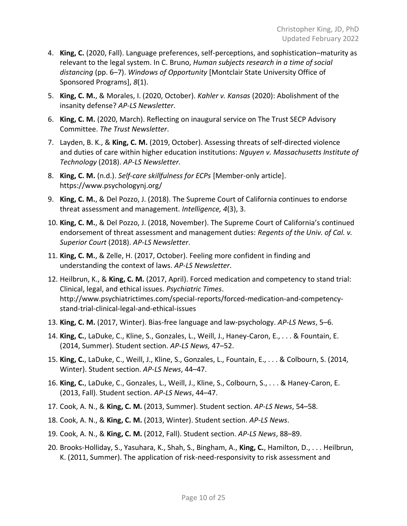- 4. **King, C.** (2020, Fall). Language preferences, self-perceptions, and sophistication–maturity as relevant to the legal system. In C. Bruno, *Human subjects research in a time of social distancing* (pp. 6–7). *Windows of Opportunity* [Montclair State University Office of Sponsored Programs], *8*(1).
- 5. **King, C. M.**, & Morales, I. (2020, October). *Kahler v. Kansas* (2020): Abolishment of the insanity defense? *AP-LS Newsletter*.
- 6. **King, C. M.** (2020, March). Reflecting on inaugural service on The Trust SECP Advisory Committee. *The Trust Newsletter*.
- 7. Layden, B. K., & **King, C. M.** (2019, October). Assessing threats of self-directed violence and duties of care within higher education institutions: *Nguyen v. Massachusetts Institute of Technology* (2018). *AP-LS Newsletter*.
- 8. **King, C. M.** (n.d.). *Self-care skillfulness for ECPs* [Member-only article]. https://www.psychologynj.org/
- 9. **King, C. M.**, & Del Pozzo, J. (2018). The Supreme Court of California continues to endorse threat assessment and management. *Intelligence, 4*(3), 3.
- 10. **King, C. M.**, & Del Pozzo, J. (2018, November). The Supreme Court of California's continued endorsement of threat assessment and management duties: *Regents of the Univ. of Cal. v. Superior Court* (2018). *AP-LS Newsletter*.
- 11. **King, C. M.**, & Zelle, H. (2017, October). Feeling more confident in finding and understanding the context of laws. *AP-LS Newsletter*.
- 12. Heilbrun, K., & **King, C. M.** (2017, April). Forced medication and competency to stand trial: Clinical, legal, and ethical issues. *Psychiatric Times*. http://www.psychiatrictimes.com/special-reports/forced-medication-and-competencystand-trial-clinical-legal-and-ethical-issues
- 13. **King, C. M.** (2017, Winter). Bias-free language and law-psychology. *AP-LS News*, 5–6.
- 14. **King, C.**, LaDuke, C., Kline, S., Gonzales, L., Weill, J., Haney-Caron, E., . . . & Fountain, E. (2014, Summer). Student section. *AP-LS News,* 47–52.
- 15. **King, C.**, LaDuke, C., Weill, J., Kline, S., Gonzales, L., Fountain, E., . . . & Colbourn, S. (2014, Winter). Student section. *AP-LS News*, 44–47.
- 16. **King, C.**, LaDuke, C., Gonzales, L., Weill, J., Kline, S., Colbourn, S., . . . & Haney-Caron, E. (2013, Fall). Student section. *AP-LS News*, 44–47.
- 17. Cook, A. N., & **King, C. M.** (2013, Summer). Student section. *AP-LS News*, 54–58.
- 18. Cook, A. N., & **King, C. M.** (2013, Winter). Student section. *AP-LS News*.
- 19. Cook, A. N., & **King, C. M.** (2012, Fall). Student section. *AP-LS News*, 88–89.
- 20. Brooks-Holliday, S., Yasuhara, K., Shah, S., Bingham, A., **King, C.**, Hamilton, D., . . . Heilbrun, K. (2011, Summer). The application of risk-need-responsivity to risk assessment and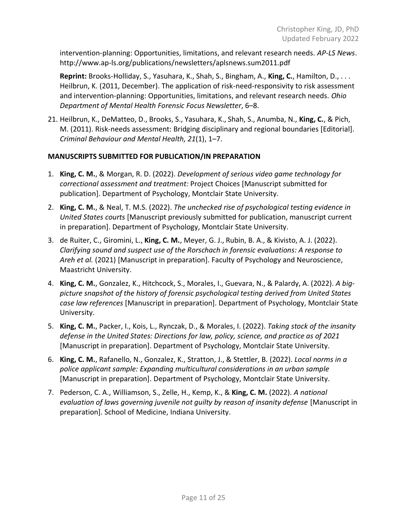intervention-planning: Opportunities, limitations, and relevant research needs. *AP-LS News*. http://www.ap-ls.org/publications/newsletters/aplsnews.sum2011.pdf

**Reprint:** Brooks-Holliday, S., Yasuhara, K., Shah, S., Bingham, A., **King, C.**, Hamilton, D., . . . Heilbrun, K. (2011, December). The application of risk-need-responsivity to risk assessment and intervention-planning: Opportunities, limitations, and relevant research needs. *Ohio Department of Mental Health Forensic Focus Newsletter*, 6–8.

21. Heilbrun, K., DeMatteo, D., Brooks, S., Yasuhara, K., Shah, S., Anumba, N., **King, C.**, & Pich, M. (2011). Risk-needs assessment: Bridging disciplinary and regional boundaries [Editorial]. *Criminal Behaviour and Mental Health, 21*(1), 1–7.

## **MANUSCRIPTS SUBMITTED FOR PUBLICATION/IN PREPARATION**

- 1. **King, C. M.**, & Morgan, R. D. (2022). *Development of serious video game technology for correctional assessment and treatment:* Project Choices [Manuscript submitted for publication]. Department of Psychology, Montclair State University.
- 2. **King, C. M.**, & Neal, T. M.S. (2022). *The unchecked rise of psychological testing evidence in United States courts* [Manuscript previously submitted for publication, manuscript current in preparation]. Department of Psychology, Montclair State University.
- 3. de Ruiter, C., Giromini, L., **King, C. M.**, Meyer, G. J., Rubin, B. A., & Kivisto, A. J. (2022). *Clarifying sound and suspect use of the Rorschach in forensic evaluations: A response to Areh et al.* (2021) [Manuscript in preparation]. Faculty of Psychology and Neuroscience, Maastricht University.
- 4. **King, C. M.**, Gonzalez, K., Hitchcock, S., Morales, I., Guevara, N., & Palardy, A. (2022). *A bigpicture snapshot of the history of forensic psychological testing derived from United States case law references* [Manuscript in preparation]. Department of Psychology, Montclair State University.
- 5. **King, C. M.**, Packer, I., Kois, L., Rynczak, D., & Morales, I. (2022). *Taking stock of the insanity defense in the United States: Directions for law, policy, science, and practice as of 2021* [Manuscript in preparation]. Department of Psychology, Montclair State University.
- 6. **King, C. M.**, Rafanello, N., Gonzalez, K., Stratton, J., & Stettler, B. (2022). *Local norms in a police applicant sample: Expanding multicultural considerations in an urban sample* [Manuscript in preparation]. Department of Psychology, Montclair State University.
- 7. Pederson, C. A., Williamson, S., Zelle, H., Kemp, K., & **King, C. M.** (2022). *A national evaluation of laws governing juvenile not guilty by reason of insanity defense* [Manuscript in preparation]. School of Medicine, Indiana University.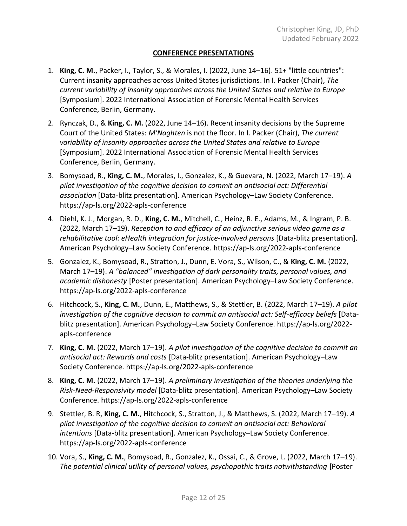## **CONFERENCE PRESENTATIONS**

- 1. **King, C. M.**, Packer, I., Taylor, S., & Morales, I. (2022, June 14–16). 51+ "little countries": Current insanity approaches across United States jurisdictions. In I. Packer (Chair), *The current variability of insanity approaches across the United States and relative to Europe* [Symposium]. 2022 International Association of Forensic Mental Health Services Conference, Berlin, Germany.
- 2. Rynczak, D., & **King, C. M.** (2022, June 14–16). Recent insanity decisions by the Supreme Court of the United States: *M'Naghten* is not the floor. In I. Packer (Chair), *The current variability of insanity approaches across the United States and relative to Europe* [Symposium]. 2022 International Association of Forensic Mental Health Services Conference, Berlin, Germany.
- 3. Bomysoad, R., **King, C. M.**, Morales, I., Gonzalez, K., & Guevara, N. (2022, March 17–19). *A pilot investigation of the cognitive decision to commit an antisocial act: Differential association* [Data-blitz presentation]. American Psychology–Law Society Conference. https://ap-ls.org/2022-apls-conference
- 4. Diehl, K. J., Morgan, R. D., **King, C. M.**, Mitchell, C., Heinz, R. E., Adams, M., & Ingram, P. B. (2022, March 17–19). *Reception to and efficacy of an adjunctive serious video game as a rehabilitative tool: eHealth integration for justice-involved persons* [Data-blitz presentation]. American Psychology–Law Society Conference. https://ap-ls.org/2022-apls-conference
- 5. Gonzalez, K., Bomysoad, R., Stratton, J., Dunn, E. Vora, S., Wilson, C., & **King, C. M.** (2022, March 17–19). *A "balanced" investigation of dark personality traits, personal values, and academic dishonesty* [Poster presentation]. American Psychology–Law Society Conference. https://ap-ls.org/2022-apls-conference
- 6. Hitchcock, S., **King, C. M.**, Dunn, E., Matthews, S., & Stettler, B. (2022, March 17–19). *A pilot investigation of the cognitive decision to commit an antisocial act: Self-efficacy beliefs* [Datablitz presentation]. American Psychology–Law Society Conference. https://ap-ls.org/2022 apls-conference
- 7. **King, C. M.** (2022, March 17–19). *A pilot investigation of the cognitive decision to commit an antisocial act: Rewards and costs* [Data-blitz presentation]. American Psychology–Law Society Conference. https://ap-ls.org/2022-apls-conference
- 8. **King, C. M.** (2022, March 17–19). *A preliminary investigation of the theories underlying the Risk-Need-Responsivity model* [Data-blitz presentation]. American Psychology–Law Society Conference. https://ap-ls.org/2022-apls-conference
- 9. Stettler, B. R, **King, C. M.**, Hitchcock, S., Stratton, J., & Matthews, S. (2022, March 17–19). *A pilot investigation of the cognitive decision to commit an antisocial act: Behavioral intentions* [Data-blitz presentation]. American Psychology–Law Society Conference. https://ap-ls.org/2022-apls-conference
- 10. Vora, S., **King, C. M.**, Bomysoad, R., Gonzalez, K., Ossai, C., & Grove, L. (2022, March 17–19). *The potential clinical utility of personal values, psychopathic traits notwithstanding* [Poster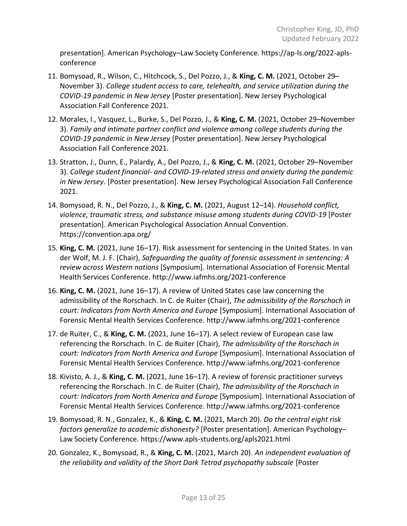presentation]. American Psychology–Law Society Conference. https://ap-ls.org/2022-aplsconference

- 11. Bomysoad, R., Wilson, C., Hitchcock, S., Del Pozzo, J., & **King, C. M.** (2021, October 29– November 3). *College student access to care, telehealth, and service utilization during the COVID-19 pandemic in New Jersey* [Poster presentation]. New Jersey Psychological Association Fall Conference 2021.
- 12. Morales, I., Vasquez, L., Burke, S., Del Pozzo, J., & **King, C. M.** (2021, October 29–November 3). *Family and intimate partner conflict and violence among college students during the COVID-19 pandemic in New Jersey* [Poster presentation]. New Jersey Psychological Association Fall Conference 2021.
- 13. Stratton, J., Dunn, E., Palardy, A., Del Pozzo, J., & **King, C. M.** (2021, October 29–November 3). *College student financial- and COVID-19-related stress and anxiety during the pandemic in New Jersey*. [Poster presentation]. New Jersey Psychological Association Fall Conference 2021.
- 14. Bomysoad, R. N., Del Pozzo, J., & **King, C. M.** (2021, August 12–14). *Household conflict, violence, traumatic stress, and substance misuse among students during COVID-19* [Poster presentation]. American Psychological Association Annual Convention. https://convention.apa.org/
- 15. **King, C. M.** (2021, June 16–17). Risk assessment for sentencing in the United States. In van der Wolf, M. J. F. (Chair), *Safeguarding the quality of forensic assessment in sentencing: A review across Western nations* [Symposium]. International Association of Forensic Mental Health Services Conference. http://www.iafmhs.org/2021-conference
- 16. **King, C. M.** (2021, June 16–17). A review of United States case law concerning the admissibility of the Rorschach. In C. de Ruiter (Chair), *The admissibility of the Rorschach in court: Indicators from North America and Europe* [Symposium]. International Association of Forensic Mental Health Services Conference. http://www.iafmhs.org/2021-conference
- 17. de Ruiter, C., & **King, C. M.** (2021, June 16–17). A select review of European case law referencing the Rorschach. In C. de Ruiter (Chair), *The admissibility of the Rorschach in court: Indicators from North America and Europe* [Symposium]. International Association of Forensic Mental Health Services Conference. http://www.iafmhs.org/2021-conference
- 18. Kivisto, A. J., & **King, C. M.** (2021, June 16–17). A review of forensic practitioner surveys referencing the Rorschach. In C. de Ruiter (Chair), *The admissibility of the Rorschach in court: Indicators from North America and Europe* [Symposium]. International Association of Forensic Mental Health Services Conference. http://www.iafmhs.org/2021-conference
- 19. Bomysoad, R. N., Gonzalez, K., & **King, C. M.** (2021, March 20). *Do the central eight risk factors generalize to academic dishonesty?* [Poster presentation]. American Psychology– Law Society Conference. https://www.apls-students.org/apls2021.html
- 20. Gonzalez, K., Bomysoad, R., & **King, C. M.** (2021, March 20). *An independent evaluation of the reliability and validity of the Short Dark Tetrad psychopathy subscale* [Poster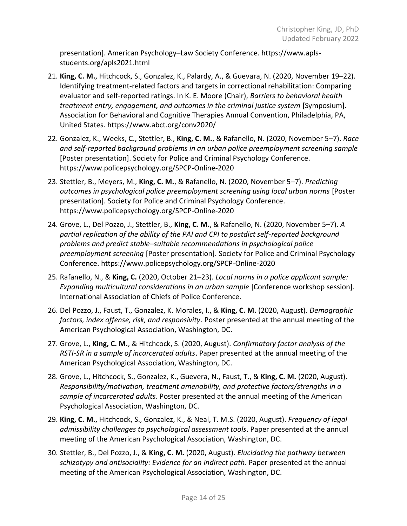presentation]. American Psychology–Law Society Conference. https://www.aplsstudents.org/apls2021.html

- 21. **King, C. M.**, Hitchcock, S., Gonzalez, K., Palardy, A., & Guevara, N. (2020, November 19–22). Identifying treatment-related factors and targets in correctional rehabilitation: Comparing evaluator and self-reported ratings. In K. E. Moore (Chair), *Barriers to behavioral health treatment entry, engagement, and outcomes in the criminal justice system* [Symposium]. Association for Behavioral and Cognitive Therapies Annual Convention, Philadelphia, PA, United States. https://www.abct.org/conv2020/
- 22. Gonzalez, K., Weeks, C., Stettler, B., **King, C. M.**, & Rafanello, N. (2020, November 5–7). *Race and self-reported background problems in an urban police preemployment screening sample* [Poster presentation]. Society for Police and Criminal Psychology Conference. https://www.policepsychology.org/SPCP-Online-2020
- 23. Stettler, B., Meyers, M., **King, C. M.**, & Rafanello, N. (2020, November 5–7). *Predicting outcomes in psychological police preemployment screening using local urban norms* [Poster presentation]. Society for Police and Criminal Psychology Conference. https://www.policepsychology.org/SPCP-Online-2020
- 24. Grove, L., Del Pozzo, J., Stettler, B., **King, C. M.**, & Rafanello, N. (2020, November 5–7). *A partial replication of the ability of the PAI and CPI to postdict self-reported background problems and predict stable–suitable recommendations in psychological police preemployment screening* [Poster presentation]. Society for Police and Criminal Psychology Conference. https://www.policepsychology.org/SPCP-Online-2020
- 25. Rafanello, N., & **King, C.** (2020, October 21–23). *Local norms in a police applicant sample: Expanding multicultural considerations in an urban sample* [Conference workshop session]. International Association of Chiefs of Police Conference.
- 26. Del Pozzo, J., Faust, T., Gonzalez, K. Morales, I., & **King, C. M.** (2020, August). *Demographic factors, index offense, risk, and responsivity*. Poster presented at the annual meeting of the American Psychological Association, Washington, DC.
- 27. Grove, L., **King, C. M.**, & Hitchcock, S. (2020, August). *Confirmatory factor analysis of the RSTI-SR in a sample of incarcerated adults*. Paper presented at the annual meeting of the American Psychological Association, Washington, DC.
- 28. Grove, L., Hitchcock, S., Gonzalez, K., Guevera, N., Faust, T., & **King, C. M.** (2020, August). *Responsibility/motivation, treatment amenability, and protective factors/strengths in a sample of incarcerated adults*. Poster presented at the annual meeting of the American Psychological Association, Washington, DC.
- 29. **King, C. M.**, Hitchcock, S., Gonzalez, K., & Neal, T. M.S. (2020, August). *Frequency of legal admissibility challenges to psychological assessment tools*. Paper presented at the annual meeting of the American Psychological Association, Washington, DC.
- 30. Stettler, B., Del Pozzo, J., & **King, C. M.** (2020, August). *Elucidating the pathway between schizotypy and antisociality: Evidence for an indirect path*. Paper presented at the annual meeting of the American Psychological Association, Washington, DC.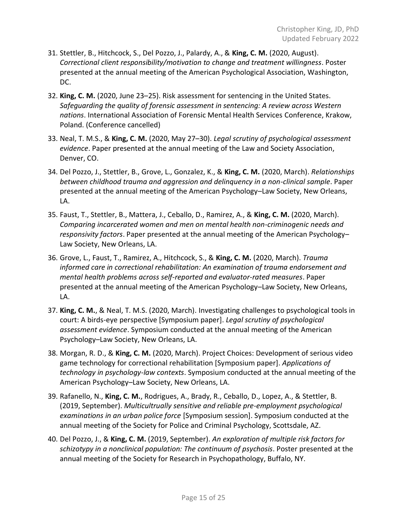- 31. Stettler, B., Hitchcock, S., Del Pozzo, J., Palardy, A., & **King, C. M.** (2020, August). *Correctional client responsibility/motivation to change and treatment willingness*. Poster presented at the annual meeting of the American Psychological Association, Washington, DC.
- 32. **King, C. M.** (2020, June 23–25). Risk assessment for sentencing in the United States. *Safeguarding the quality of forensic assessment in sentencing: A review across Western nations*. International Association of Forensic Mental Health Services Conference, Krakow, Poland. (Conference cancelled)
- 33. Neal, T. M.S., & **King, C. M.** (2020, May 27–30). *Legal scrutiny of psychological assessment evidence*. Paper presented at the annual meeting of the Law and Society Association, Denver, CO.
- 34. Del Pozzo, J., Stettler, B., Grove, L., Gonzalez, K., & **King, C. M.** (2020, March). *Relationships between childhood trauma and aggression and delinquency in a non-clinical sample*. Paper presented at the annual meeting of the American Psychology–Law Society, New Orleans, LA.
- 35. Faust, T., Stettler, B., Mattera, J., Ceballo, D., Ramirez, A., & **King, C. M.** (2020, March). *Comparing incarcerated women and men on mental health non-criminogenic needs and responsivity factors*. Paper presented at the annual meeting of the American Psychology– Law Society, New Orleans, LA.
- 36. Grove, L., Faust, T., Ramirez, A., Hitchcock, S., & **King, C. M.** (2020, March). *Trauma informed care in correctional rehabilitation: An examination of trauma endorsement and mental health problems across self-reported and evaluator-rated measures*. Paper presented at the annual meeting of the American Psychology–Law Society, New Orleans, LA.
- 37. **King, C. M.**, & Neal, T. M.S. (2020, March). Investigating challenges to psychological tools in court: A birds-eye perspective [Symposium paper]. *Legal scrutiny of psychological assessment evidence*. Symposium conducted at the annual meeting of the American Psychology–Law Society, New Orleans, LA.
- 38. Morgan, R. D., & **King, C. M.** (2020, March). Project Choices: Development of serious video game technology for correctional rehabilitation [Symposium paper]. *Applications of technology in psychology-law contexts*. Symposium conducted at the annual meeting of the American Psychology–Law Society, New Orleans, LA.
- 39. Rafanello, N., **King, C. M.**, Rodrigues, A., Brady, R., Ceballo, D., Lopez, A., & Stettler, B. (2019, September). *Multicultrually sensitive and reliable pre-employment psychological examinations in an urban police force* [Symposium session]. Symposium conducted at the annual meeting of the Society for Police and Criminal Psychology, Scottsdale, AZ.
- 40. Del Pozzo, J., & **King, C. M.** (2019, September). *An exploration of multiple risk factors for schizotypy in a nonclinical population: The continuum of psychosis*. Poster presented at the annual meeting of the Society for Research in Psychopathology, Buffalo, NY.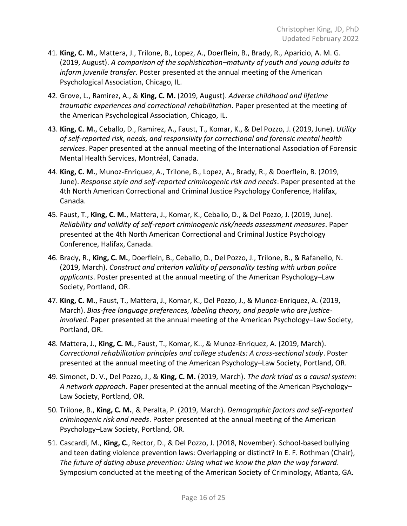- 41. **King, C. M.**, Mattera, J., Trilone, B., Lopez, A., Doerflein, B., Brady, R., Aparicio, A. M. G. (2019, August). *A comparison of the sophistication–maturity of youth and young adults to inform juvenile transfer*. Poster presented at the annual meeting of the American Psychological Association, Chicago, IL.
- 42. Grove, L., Ramirez, A., & **King, C. M.** (2019, August). *Adverse childhood and lifetime traumatic experiences and correctional rehabilitation*. Paper presented at the meeting of the American Psychological Association, Chicago, IL.
- 43. **King, C. M.**, Ceballo, D., Ramirez, A., Faust, T., Komar, K., & Del Pozzo, J. (2019, June). *Utility of self-reported risk, needs, and responsivity for correctional and forensic mental health services*. Paper presented at the annual meeting of the International Association of Forensic Mental Health Services, Montréal, Canada.
- 44. **King, C. M.**, Munoz-Enriquez, A., Trilone, B., Lopez, A., Brady, R., & Doerflein, B. (2019, June). *Response style and self-reported criminogenic risk and needs*. Paper presented at the 4th North American Correctional and Criminal Justice Psychology Conference, Halifax, Canada.
- 45. Faust, T., **King, C. M.**, Mattera, J., Komar, K., Ceballo, D., & Del Pozzo, J. (2019, June). *Reliability and validity of self-report criminogenic risk/needs assessment measures*. Paper presented at the 4th North American Correctional and Criminal Justice Psychology Conference, Halifax, Canada.
- 46. Brady, R., **King, C. M.**, Doerflein, B., Ceballo, D., Del Pozzo, J., Trilone, B., & Rafanello, N. (2019, March). *Construct and criterion validity of personality testing with urban police applicants*. Poster presented at the annual meeting of the American Psychology–Law Society, Portland, OR.
- 47. **King, C. M.**, Faust, T., Mattera, J., Komar, K., Del Pozzo, J., & Munoz-Enriquez, A. (2019, March). *Bias-free language preferences, labeling theory, and people who are justiceinvolved*. Paper presented at the annual meeting of the American Psychology–Law Society, Portland, OR.
- 48. Mattera, J., **King, C. M.**, Faust, T., Komar, K.., & Munoz-Enriquez, A. (2019, March). *Correctional rehabilitation principles and college students: A cross-sectional study*. Poster presented at the annual meeting of the American Psychology–Law Society, Portland, OR.
- 49. Simonet, D. V., Del Pozzo, J., & **King, C. M.** (2019, March). *The dark triad as a causal system: A network approach*. Paper presented at the annual meeting of the American Psychology– Law Society, Portland, OR.
- 50. Trilone, B., **King, C. M.**, & Peralta, P. (2019, March). *Demographic factors and self-reported criminogenic risk and needs*. Poster presented at the annual meeting of the American Psychology–Law Society, Portland, OR.
- 51. Cascardi, M., **King, C.**, Rector, D., & Del Pozzo, J. (2018, November). School-based bullying and teen dating violence prevention laws: Overlapping or distinct? In E. F. Rothman (Chair), *The future of dating abuse prevention: Using what we know the plan the way forward*. Symposium conducted at the meeting of the American Society of Criminology, Atlanta, GA.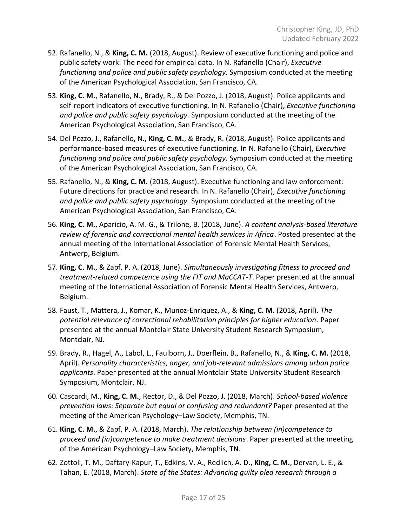- 52. Rafanello, N., & **King, C. M.** (2018, August). Review of executive functioning and police and public safety work: The need for empirical data. In N. Rafanello (Chair), *Executive functioning and police and public safety psychology.* Symposium conducted at the meeting of the American Psychological Association, San Francisco, CA.
- 53. **King, C. M.**, Rafanello, N., Brady, R., & Del Pozzo, J. (2018, August). Police applicants and self-report indicators of executive functioning. In N. Rafanello (Chair), *Executive functioning and police and public safety psychology.* Symposium conducted at the meeting of the American Psychological Association, San Francisco, CA.
- 54. Del Pozzo, J., Rafanello, N., **King, C. M.**, & Brady, R. (2018, August). Police applicants and performance-based measures of executive functioning. In N. Rafanello (Chair), *Executive functioning and police and public safety psychology.* Symposium conducted at the meeting of the American Psychological Association, San Francisco, CA.
- 55. Rafanello, N., & **King, C. M.** (2018, August). Executive functioning and law enforcement: Future directions for practice and research. In N. Rafanello (Chair), *Executive functioning and police and public safety psychology.* Symposium conducted at the meeting of the American Psychological Association, San Francisco, CA.
- 56. **King, C. M.**, Aparicio, A. M. G., & Trilone, B. (2018, June). *A content analysis-based literature review of forensic and correctional mental health services in Africa*. Posted presented at the annual meeting of the International Association of Forensic Mental Health Services, Antwerp, Belgium.
- 57. **King, C. M.**, & Zapf, P. A. (2018, June). *Simultaneously investigating fitness to proceed and treatment-related competence using the FIT and MaCCAT-T*. Paper presented at the annual meeting of the International Association of Forensic Mental Health Services, Antwerp, Belgium.
- 58. Faust, T., Mattera, J., Komar, K., Munoz-Enriquez, A., & **King, C. M.** (2018, April). *The potential relevance of correctional rehabilitation principles for higher education*. Paper presented at the annual Montclair State University Student Research Symposium, Montclair, NJ.
- 59. Brady, R., Hagel, A., Labol, L., Faulborn, J., Doerflein, B., Rafanello, N., & **King, C. M.** (2018, April). *Personality characteristics, anger, and job-relevant admissions among urban police applicants*. Paper presented at the annual Montclair State University Student Research Symposium, Montclair, NJ.
- 60. Cascardi, M., **King, C. M.**, Rector, D., & Del Pozzo, J. (2018, March). *School-based violence prevention laws: Separate but equal or confusing and redundant?* Paper presented at the meeting of the American Psychology–Law Society, Memphis, TN.
- 61. **King, C. M.**, & Zapf, P. A. (2018, March). *The relationship between (in)competence to proceed and (in)competence to make treatment decisions*. Paper presented at the meeting of the American Psychology–Law Society, Memphis, TN.
- 62. Zottoli, T. M., Daftary-Kapur, T., Edkins, V. A., Redlich, A. D., **King, C. M.**, Dervan, L. E., & Tahan, E. (2018, March). *State of the States: Advancing guilty plea research through a*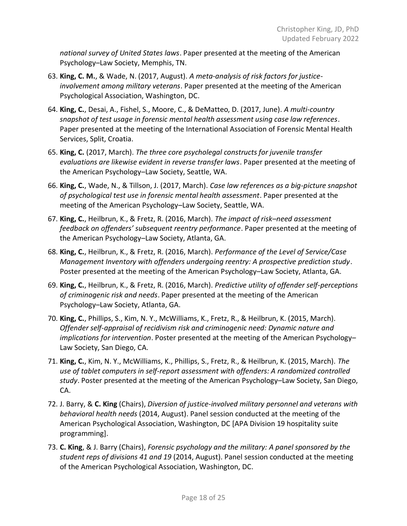*national survey of United States laws*. Paper presented at the meeting of the American Psychology–Law Society, Memphis, TN.

- 63. **King, C. M.**, & Wade, N. (2017, August). *A meta-analysis of risk factors for justiceinvolvement among military veterans*. Paper presented at the meeting of the American Psychological Association, Washington, DC.
- 64. **King, C.**, Desai, A., Fishel, S., Moore, C., & DeMatteo, D. (2017, June). *A multi-country snapshot of test usage in forensic mental health assessment using case law references*. Paper presented at the meeting of the International Association of Forensic Mental Health Services, Split, Croatia.
- 65. **King, C.** (2017, March). *The three core psycholegal constructs for juvenile transfer evaluations are likewise evident in reverse transfer laws*. Paper presented at the meeting of the American Psychology–Law Society, Seattle, WA.
- 66. **King, C.**, Wade, N., & Tillson, J. (2017, March). *Case law references as a big-picture snapshot of psychological test use in forensic mental health assessment*. Paper presented at the meeting of the American Psychology–Law Society, Seattle, WA.
- 67. **King, C.**, Heilbrun, K., & Fretz, R. (2016, March). *The impact of risk–need assessment feedback on offenders' subsequent reentry performance*. Paper presented at the meeting of the American Psychology–Law Society, Atlanta, GA.
- 68. **King, C.**, Heilbrun, K., & Fretz, R. (2016, March). *Performance of the Level of Service/Case Management Inventory with offenders undergoing reentry: A prospective prediction study*. Poster presented at the meeting of the American Psychology–Law Society, Atlanta, GA.
- 69. **King, C.**, Heilbrun, K., & Fretz, R. (2016, March). *Predictive utility of offender self-perceptions of criminogenic risk and needs*. Paper presented at the meeting of the American Psychology–Law Society, Atlanta, GA.
- 70. **King, C.**, Phillips, S., Kim, N. Y., McWilliams, K., Fretz, R., & Heilbrun, K. (2015, March). *Offender self-appraisal of recidivism risk and criminogenic need: Dynamic nature and implications for intervention*. Poster presented at the meeting of the American Psychology– Law Society, San Diego, CA.
- 71. **King, C.**, Kim, N. Y., McWilliams, K., Phillips, S., Fretz, R., & Heilbrun, K. (2015, March). *The use of tablet computers in self-report assessment with offenders: A randomized controlled study*. Poster presented at the meeting of the American Psychology–Law Society, San Diego, CA.
- 72. J. Barry, & **C. King** (Chairs), *Diversion of justice-involved military personnel and veterans with behavioral health needs* (2014, August). Panel session conducted at the meeting of the American Psychological Association, Washington, DC [APA Division 19 hospitality suite programming].
- 73. **C. King**, & J. Barry (Chairs), *Forensic psychology and the military: A panel sponsored by the student reps of divisions 41 and 19* (2014, August). Panel session conducted at the meeting of the American Psychological Association, Washington, DC.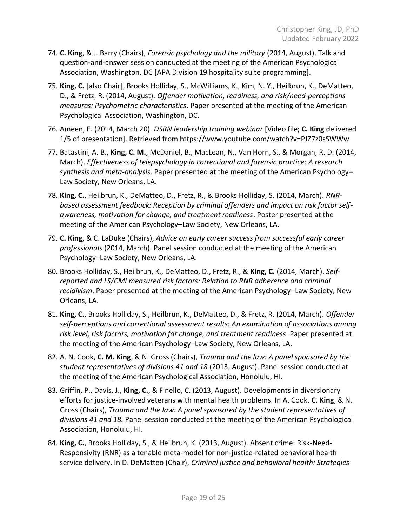- 74. **C. King**, & J. Barry (Chairs), *Forensic psychology and the military* (2014, August). Talk and question-and-answer session conducted at the meeting of the American Psychological Association, Washington, DC [APA Division 19 hospitality suite programming].
- 75. **King, C.** [also Chair], Brooks Holliday, S., McWilliams, K., Kim, N. Y., Heilbrun, K., DeMatteo, D., & Fretz, R. (2014, August). *Offender motivation, readiness, and risk/need-perceptions measures: Psychometric characteristics*. Paper presented at the meeting of the American Psychological Association, Washington, DC.
- 76. Ameen, E. (2014, March 20). *DSRN leadership training webinar* [Video file; **C. King** delivered 1/5 of presentation]. Retrieved from https://www.youtube.com/watch?v=PJZ7z0sSWWw
- 77. Batastini, A. B., **King, C. M.**, McDaniel, B., MacLean, N., Van Horn, S., & Morgan, R. D. (2014, March). *Effectiveness of telepsychology in correctional and forensic practice: A research synthesis and meta-analysis*. Paper presented at the meeting of the American Psychology– Law Society, New Orleans, LA.
- 78. **King, C.**, Heilbrun, K., DeMatteo, D., Fretz, R., & Brooks Holliday, S. (2014, March). *RNRbased assessment feedback: Reception by criminal offenders and impact on risk factor selfawareness, motivation for change, and treatment readiness*. Poster presented at the meeting of the American Psychology–Law Society, New Orleans, LA.
- 79. **C. King**, & C. LaDuke (Chairs), *Advice on early career success from successful early career professionals* (2014, March). Panel session conducted at the meeting of the American Psychology–Law Society, New Orleans, LA.
- 80. Brooks Holliday, S., Heilbrun, K., DeMatteo, D., Fretz, R., & **King, C.** (2014, March). *Selfreported and LS/CMI measured risk factors: Relation to RNR adherence and criminal recidivism*. Paper presented at the meeting of the American Psychology–Law Society, New Orleans, LA.
- 81. **King, C.**, Brooks Holliday, S., Heilbrun, K., DeMatteo, D., & Fretz, R. (2014, March). *Offender self-perceptions and correctional assessment results: An examination of associations among risk level, risk factors, motivation for change, and treatment readiness*. Paper presented at the meeting of the American Psychology–Law Society, New Orleans, LA.
- 82. A. N. Cook, **C. M. King**, & N. Gross (Chairs), *Trauma and the law: A panel sponsored by the student representatives of divisions 41 and 18* (2013, August). Panel session conducted at the meeting of the American Psychological Association, Honolulu, HI.
- 83. Griffin, P., Davis, J., **King, C.**, & Finello, C. (2013, August). Developments in diversionary efforts for justice-involved veterans with mental health problems. In A. Cook, **C. King**, & N. Gross (Chairs), *Trauma and the law: A panel sponsored by the student representatives of divisions 41 and 18.* Panel session conducted at the meeting of the American Psychological Association, Honolulu, HI.
- 84. **King, C.**, Brooks Holliday, S., & Heilbrun, K. (2013, August). Absent crime: Risk-Need-Responsivity (RNR) as a tenable meta-model for non-justice-related behavioral health service delivery. In D. DeMatteo (Chair), *Criminal justice and behavioral health: Strategies*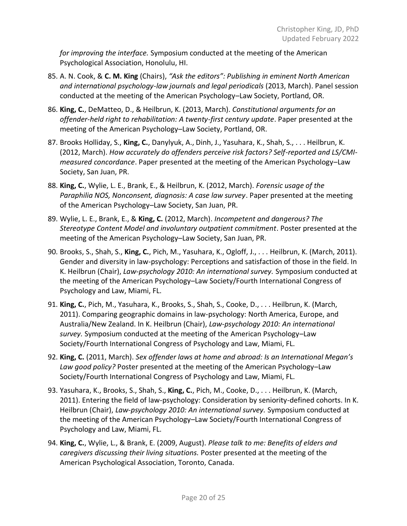*for improving the interface.* Symposium conducted at the meeting of the American Psychological Association, Honolulu, HI.

- 85. A. N. Cook, & **C. M. King** (Chairs), *"Ask the editors": Publishing in eminent North American and international psychology-law journals and legal periodicals* (2013, March). Panel session conducted at the meeting of the American Psychology–Law Society, Portland, OR.
- 86. **King, C.**, DeMatteo, D., & Heilbrun, K. (2013, March). *Constitutional arguments for an offender-held right to rehabilitation: A twenty-first century update*. Paper presented at the meeting of the American Psychology–Law Society, Portland, OR.
- 87. Brooks Holliday, S., **King, C.**, Danylyuk, A., Dinh, J., Yasuhara, K., Shah, S., . . . Heilbrun, K. (2012, March). *How accurately do offenders perceive risk factors? Self-reported and LS/CMImeasured concordance*. Paper presented at the meeting of the American Psychology–Law Society, San Juan, PR.
- 88. **King, C.**, Wylie, L. E., Brank, E., & Heilbrun, K. (2012, March). *Forensic usage of the Paraphilia NOS, Nonconsent, diagnosis: A case law survey*. Paper presented at the meeting of the American Psychology–Law Society, San Juan, PR.
- 89. Wylie, L. E., Brank, E., & **King, C.** (2012, March). *Incompetent and dangerous? The Stereotype Content Model and involuntary outpatient commitment*. Poster presented at the meeting of the American Psychology–Law Society, San Juan, PR.
- 90. Brooks, S., Shah, S., **King, C.**, Pich, M., Yasuhara, K., Ogloff, J., . . . Heilbrun, K. (March, 2011). Gender and diversity in law-psychology: Perceptions and satisfaction of those in the field. In K. Heilbrun (Chair), *Law-psychology 2010: An international survey.* Symposium conducted at the meeting of the American Psychology–Law Society/Fourth International Congress of Psychology and Law, Miami, FL.
- 91. **King, C.**, Pich, M., Yasuhara, K., Brooks, S., Shah, S., Cooke, D., . . . Heilbrun, K. (March, 2011). Comparing geographic domains in law-psychology: North America, Europe, and Australia/New Zealand. In K. Heilbrun (Chair), *Law-psychology 2010: An international survey.* Symposium conducted at the meeting of the American Psychology–Law Society/Fourth International Congress of Psychology and Law, Miami, FL.
- 92. **King, C.** (2011, March). *Sex offender laws at home and abroad: Is an International Megan's Law good policy?* Poster presented at the meeting of the American Psychology–Law Society/Fourth International Congress of Psychology and Law, Miami, FL.
- 93. Yasuhara, K., Brooks, S., Shah, S., **King, C.**, Pich, M., Cooke, D., . . . Heilbrun, K. (March, 2011). Entering the field of law-psychology: Consideration by seniority-defined cohorts. In K. Heilbrun (Chair), *Law-psychology 2010: An international survey.* Symposium conducted at the meeting of the American Psychology–Law Society/Fourth International Congress of Psychology and Law, Miami, FL.
- 94. **King, C.**, Wylie, L., & Brank, E. (2009, August). *Please talk to me: Benefits of elders and caregivers discussing their living situations.* Poster presented at the meeting of the American Psychological Association, Toronto, Canada.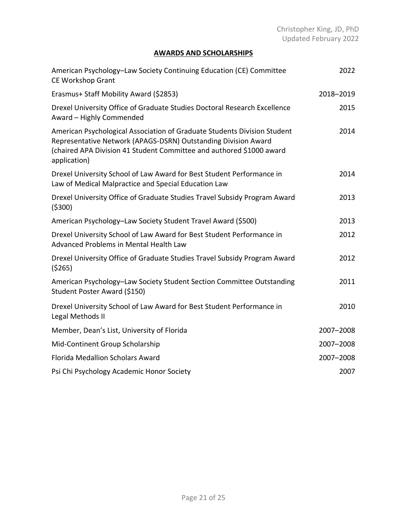# **AWARDS AND SCHOLARSHIPS**

| American Psychology-Law Society Continuing Education (CE) Committee<br><b>CE Workshop Grant</b>                                                                                                                                    | 2022      |
|------------------------------------------------------------------------------------------------------------------------------------------------------------------------------------------------------------------------------------|-----------|
| Erasmus+ Staff Mobility Award (\$2853)                                                                                                                                                                                             | 2018-2019 |
| Drexel University Office of Graduate Studies Doctoral Research Excellence<br>Award - Highly Commended                                                                                                                              | 2015      |
| American Psychological Association of Graduate Students Division Student<br>Representative Network (APAGS-DSRN) Outstanding Division Award<br>(chaired APA Division 41 Student Committee and authored \$1000 award<br>application) | 2014      |
| Drexel University School of Law Award for Best Student Performance in<br>Law of Medical Malpractice and Special Education Law                                                                                                      | 2014      |
| Drexel University Office of Graduate Studies Travel Subsidy Program Award<br>(5300)                                                                                                                                                | 2013      |
| American Psychology-Law Society Student Travel Award (\$500)                                                                                                                                                                       | 2013      |
| Drexel University School of Law Award for Best Student Performance in<br>Advanced Problems in Mental Health Law                                                                                                                    | 2012      |
| Drexel University Office of Graduate Studies Travel Subsidy Program Award<br>(5265)                                                                                                                                                | 2012      |
| American Psychology-Law Society Student Section Committee Outstanding<br>Student Poster Award (\$150)                                                                                                                              | 2011      |
| Drexel University School of Law Award for Best Student Performance in<br>Legal Methods II                                                                                                                                          | 2010      |
| Member, Dean's List, University of Florida                                                                                                                                                                                         | 2007-2008 |
| Mid-Continent Group Scholarship                                                                                                                                                                                                    | 2007-2008 |
| Florida Medallion Scholars Award                                                                                                                                                                                                   | 2007-2008 |
| Psi Chi Psychology Academic Honor Society                                                                                                                                                                                          | 2007      |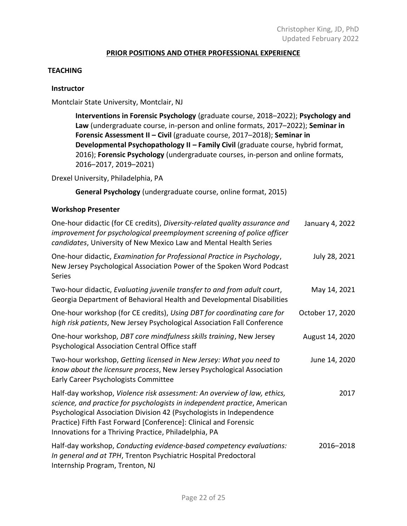### **PRIOR POSITIONS AND OTHER PROFESSIONAL EXPERIENCE**

### **TEACHING**

#### **Instructor**

### Montclair State University, Montclair, NJ

**Interventions in Forensic Psychology** (graduate course, 2018–2022); **Psychology and Law** (undergraduate course, in-person and online formats, 2017–2022); **Seminar in Forensic Assessment II – Civil** (graduate course, 2017–2018); **Seminar in Developmental Psychopathology II - Family Civil (graduate course, hybrid format,** 2016); **Forensic Psychology** (undergraduate courses, in-person and online formats, 2016–2017, 2019–2021)

Drexel University, Philadelphia, PA

**General Psychology** (undergraduate course, online format, 2015)

### **Workshop Presenter**

| One-hour didactic (for CE credits), Diversity-related quality assurance and<br>improvement for psychological preemployment screening of police officer<br>candidates, University of New Mexico Law and Mental Health Series                                                                                                                                | January 4, 2022  |
|------------------------------------------------------------------------------------------------------------------------------------------------------------------------------------------------------------------------------------------------------------------------------------------------------------------------------------------------------------|------------------|
| One-hour didactic, Examination for Professional Practice in Psychology,<br>New Jersey Psychological Association Power of the Spoken Word Podcast<br><b>Series</b>                                                                                                                                                                                          | July 28, 2021    |
| Two-hour didactic, Evaluating juvenile transfer to and from adult court,<br>Georgia Department of Behavioral Health and Developmental Disabilities                                                                                                                                                                                                         | May 14, 2021     |
| One-hour workshop (for CE credits), Using DBT for coordinating care for<br>high risk patients, New Jersey Psychological Association Fall Conference                                                                                                                                                                                                        | October 17, 2020 |
| One-hour workshop, DBT core mindfulness skills training, New Jersey<br>Psychological Association Central Office staff                                                                                                                                                                                                                                      | August 14, 2020  |
| Two-hour workshop, Getting licensed in New Jersey: What you need to<br>know about the licensure process, New Jersey Psychological Association<br>Early Career Psychologists Committee                                                                                                                                                                      | June 14, 2020    |
| Half-day workshop, Violence risk assessment: An overview of law, ethics,<br>science, and practice for psychologists in independent practice, American<br>Psychological Association Division 42 (Psychologists in Independence<br>Practice) Fifth Fast Forward [Conference]: Clinical and Forensic<br>Innovations for a Thriving Practice, Philadelphia, PA | 2017             |
| Half-day workshop, Conducting evidence-based competency evaluations:<br>In general and at TPH, Trenton Psychiatric Hospital Predoctoral<br>Internship Program, Trenton, NJ                                                                                                                                                                                 | 2016-2018        |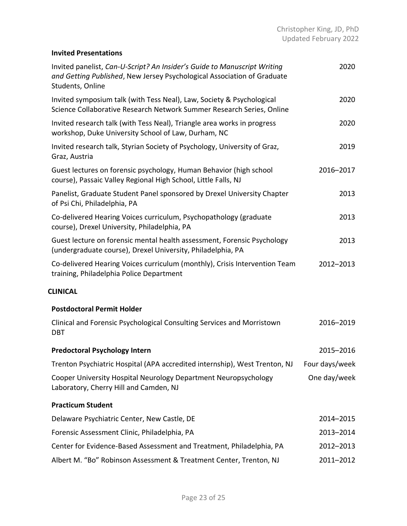# **Invited Presentations**

| Invited panelist, Can-U-Script? An Insider's Guide to Manuscript Writing<br>and Getting Published, New Jersey Psychological Association of Graduate<br>Students, Online | 2020           |
|-------------------------------------------------------------------------------------------------------------------------------------------------------------------------|----------------|
| Invited symposium talk (with Tess Neal), Law, Society & Psychological<br>Science Collaborative Research Network Summer Research Series, Online                          | 2020           |
| Invited research talk (with Tess Neal), Triangle area works in progress<br>workshop, Duke University School of Law, Durham, NC                                          | 2020           |
| Invited research talk, Styrian Society of Psychology, University of Graz,<br>Graz, Austria                                                                              | 2019           |
| Guest lectures on forensic psychology, Human Behavior (high school<br>course), Passaic Valley Regional High School, Little Falls, NJ                                    | 2016-2017      |
| Panelist, Graduate Student Panel sponsored by Drexel University Chapter<br>of Psi Chi, Philadelphia, PA                                                                 | 2013           |
| Co-delivered Hearing Voices curriculum, Psychopathology (graduate<br>course), Drexel University, Philadelphia, PA                                                       | 2013           |
| Guest lecture on forensic mental health assessment, Forensic Psychology<br>(undergraduate course), Drexel University, Philadelphia, PA                                  | 2013           |
| Co-delivered Hearing Voices curriculum (monthly), Crisis Intervention Team<br>training, Philadelphia Police Department                                                  | 2012-2013      |
| <b>CLINICAL</b>                                                                                                                                                         |                |
| <b>Postdoctoral Permit Holder</b>                                                                                                                                       |                |
| Clinical and Forensic Psychological Consulting Services and Morristown<br><b>DBT</b>                                                                                    | 2016-2019      |
| <b>Predoctoral Psychology Intern</b>                                                                                                                                    | 2015-2016      |
| Trenton Psychiatric Hospital (APA accredited internship), West Trenton, NJ                                                                                              | Four days/week |
| Cooper University Hospital Neurology Department Neuropsychology<br>Laboratory, Cherry Hill and Camden, NJ                                                               | One day/week   |
| <b>Practicum Student</b>                                                                                                                                                |                |
| Delaware Psychiatric Center, New Castle, DE                                                                                                                             | 2014-2015      |
| Forensic Assessment Clinic, Philadelphia, PA                                                                                                                            | 2013-2014      |
| Center for Evidence-Based Assessment and Treatment, Philadelphia, PA                                                                                                    | 2012-2013      |
| Albert M. "Bo" Robinson Assessment & Treatment Center, Trenton, NJ                                                                                                      | 2011-2012      |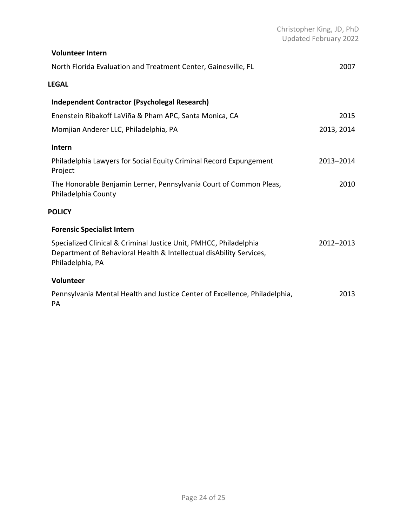|                                                                                                                                                              | Christopher King, JD, PhD<br>Updated February 2022 |
|--------------------------------------------------------------------------------------------------------------------------------------------------------------|----------------------------------------------------|
| <b>Volunteer Intern</b>                                                                                                                                      |                                                    |
| North Florida Evaluation and Treatment Center, Gainesville, FL                                                                                               | 2007                                               |
| <b>LEGAL</b>                                                                                                                                                 |                                                    |
| <b>Independent Contractor (Psycholegal Research)</b>                                                                                                         |                                                    |
| Enenstein Ribakoff LaViña & Pham APC, Santa Monica, CA                                                                                                       | 2015                                               |
| Momjian Anderer LLC, Philadelphia, PA                                                                                                                        | 2013, 2014                                         |
| Intern                                                                                                                                                       |                                                    |
| Philadelphia Lawyers for Social Equity Criminal Record Expungement<br>Project                                                                                | 2013-2014                                          |
| The Honorable Benjamin Lerner, Pennsylvania Court of Common Pleas,<br>Philadelphia County                                                                    | 2010                                               |
| <b>POLICY</b>                                                                                                                                                |                                                    |
| <b>Forensic Specialist Intern</b>                                                                                                                            |                                                    |
| Specialized Clinical & Criminal Justice Unit, PMHCC, Philadelphia<br>Department of Behavioral Health & Intellectual disAbility Services,<br>Philadelphia, PA | 2012-2013                                          |
| Volunteer                                                                                                                                                    |                                                    |
| Pennsylvania Mental Health and Justice Center of Excellence, Philadelphia,<br>PA                                                                             | 2013                                               |